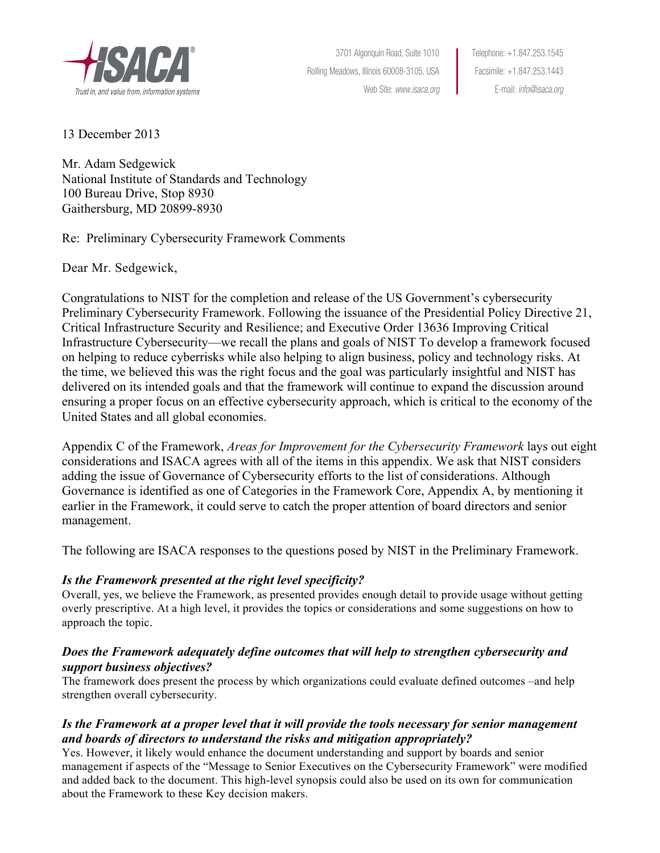

3701 Algonquin Road, Suite 1010 Telephone: +1.847.253.1545 Rolling Meadows, Illinois 60008-3105, USA Facsimile: +1.847.253.1443

Web Site: www.isaca.org <br>
E-mail: info@isaca.org

13 December 2013

Mr. Adam Sedgewick National Institute of Standards and Technology 100 Bureau Drive, Stop 8930 Gaithersburg, MD 20899-8930

 Re: Preliminary Cybersecurity Framework Comments

Dear Mr. Sedgewick,

 Congratulations to NIST for the completion and release of the US Government's cybersecurity Infrastructure Cybersecurity—we recall the plans and goals of NIST To develop a framework focused the time, we believed this was the right focus and the goal was particularly insightful and NIST has delivered on its intended goals and that the framework will continue to expand the discussion around ensuring a proper focus on an effective cybersecurity approach, which is critical to the economy of the Preliminary Cybersecurity Framework. Following the issuance of the Presidential Policy Directive 21, Critical Infrastructure Security and Resilience; and Executive Order 13636 Improving Critical on helping to reduce cyberrisks while also helping to align business, policy and technology risks. At United States and all global economies.

 considerations and ISACA agrees with all of the items in this appendix. We ask that NIST considers adding the issue of Governance of Cybersecurity efforts to the list of considerations. Although Appendix C of the Framework, *Areas for Improvement for the Cybersecurity Framework* lays out eight Governance is identified as one of Categories in the Framework Core, Appendix A, by mentioning it earlier in the Framework, it could serve to catch the proper attention of board directors and senior management.

The following are ISACA responses to the questions posed by NIST in the Preliminary Framework.

## *Is the Framework presented at the right level specificity?*

 Overall, yes, we believe the Framework, as presented provides enough detail to provide usage without getting overly prescriptive. At a high level, it provides the topics or considerations and some suggestions on how to approach the topic.

### *Does the Framework adequately define outcomes that will help to strengthen cybersecurity and support business objectives?*

 The framework does present the process by which organizations could evaluate defined outcomes –and help strengthen overall cybersecurity.

# Is the Framework at a proper level that it will provide the tools necessary for senior management *and boards of directors to understand the risks and mitigation appropriately?*

 management if aspects of the "Message to Senior Executives on the Cybersecurity Framework" were modified and added back to the document. This high-level synopsis could also be used on its own for communication about the Framework to these Key decision makers. Yes. However, it likely would enhance the document understanding and support by boards and senior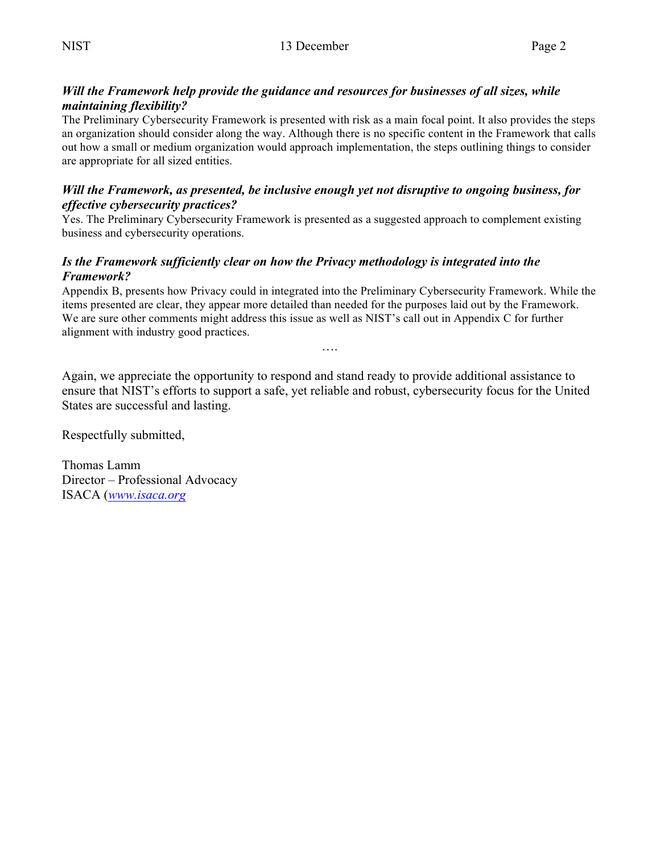### *Will the Framework help provide the guidance and resources for businesses of all sizes, while maintaining flexibility?*

 The Preliminary Cybersecurity Framework is presented with risk as a main focal point. It also provides the steps an organization should consider along the way. Although there is no specific content in the Framework that calls out how a small or medium organization would approach implementation, the steps outlining things to consider are appropriate for all sized entities.

#### *Will the Framework, as presented, be inclusive enough yet not disruptive to ongoing business, for effective cybersecurity practices?*

 Yes. The Preliminary Cybersecurity Framework is presented as a suggested approach to complement existing business and cybersecurity operations.

### *Is the Framework sufficiently clear on how the Privacy methodology is integrated into the Framework?*

 Appendix B, presents how Privacy could in integrated into the Preliminary Cybersecurity Framework. While the items presented are clear, they appear more detailed than needed for the purposes laid out by the Framework. We are sure other comments might address this issue as well as NIST's call out in Appendix C for further alignment with industry good practices.

….

 Again, we appreciate the opportunity to respond and stand ready to provide additional assistance to ensure that NIST's efforts to support a safe, yet reliable and robust, cybersecurity focus for the United States are successful and lasting.

Respectfully submitted,

Thomas Lamm Director – Professional Advocacy ISACA (*www.isaca.org*